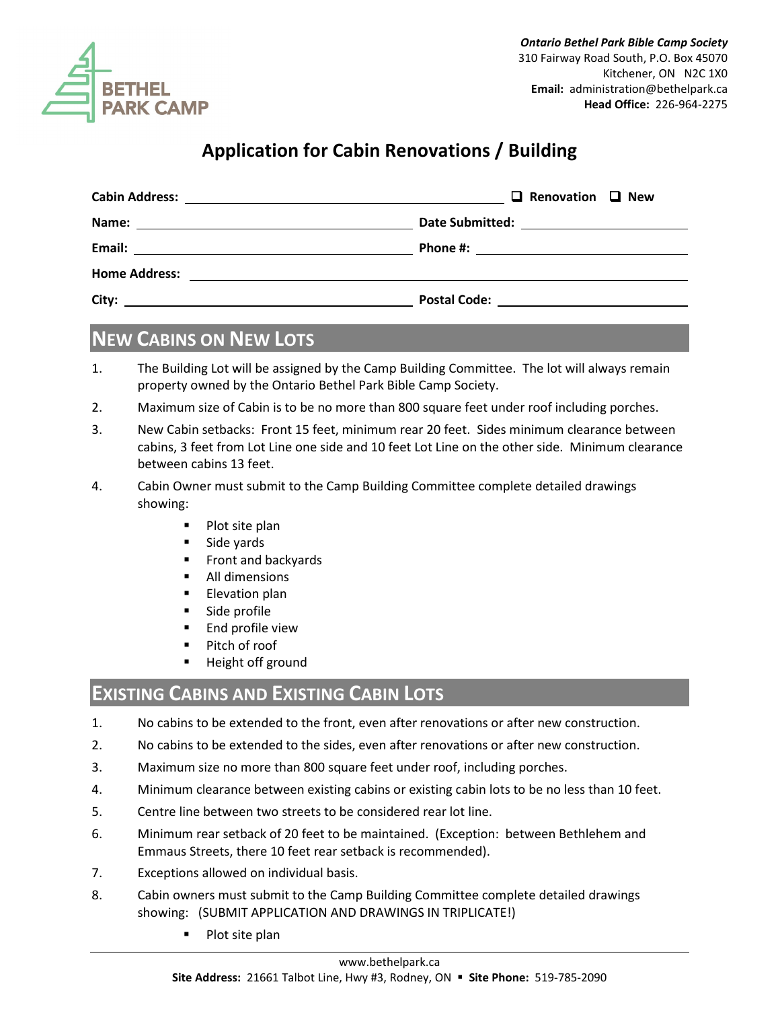

## **Application for Cabin Renovations / Building**

|                                                                                                                                 | $\Box$ Renovation $\Box$ New |
|---------------------------------------------------------------------------------------------------------------------------------|------------------------------|
|                                                                                                                                 |                              |
| Email:<br><u> 1980 - John Stein, mars and de Britain and de Britain and de Britain and de Britain and de Britain and de Br</u>  |                              |
|                                                                                                                                 |                              |
| City:<br><u> 1989 - Johann John Stone, mars et al. 1989 - John Stone, mars et al. 1989 - John Stone, mars et al. 1989 - Joh</u> | <b>Postal Code:</b>          |

## **NEW CABINS ON NEW LOTS**

- 1. The Building Lot will be assigned by the Camp Building Committee. The lot will always remain property owned by the Ontario Bethel Park Bible Camp Society.
- 2. Maximum size of Cabin is to be no more than 800 square feet under roof including porches.
- 3. New Cabin setbacks: Front 15 feet, minimum rear 20 feet. Sides minimum clearance between cabins, 3 feet from Lot Line one side and 10 feet Lot Line on the other side. Minimum clearance between cabins 13 feet.
- 4. Cabin Owner must submit to the Camp Building Committee complete detailed drawings showing:
	- Plot site plan
	- Side yards
	- **Filter** Front and backyards
	- **All dimensions**
	- **Elevation plan**
	- **Side profile**
	- $\blacksquare$  End profile view
	- Pitch of roof
	- Height off ground

## **EXISTING CABINS AND EXISTING CABIN LOTS**

- 1. No cabins to be extended to the front, even after renovations or after new construction.
- 2. No cabins to be extended to the sides, even after renovations or after new construction.
- 3. Maximum size no more than 800 square feet under roof, including porches.
- 4. Minimum clearance between existing cabins or existing cabin lots to be no less than 10 feet.
- 5. Centre line between two streets to be considered rear lot line.
- 6. Minimum rear setback of 20 feet to be maintained. (Exception: between Bethlehem and Emmaus Streets, there 10 feet rear setback is recommended).
- 7. Exceptions allowed on individual basis.
- 8. Cabin owners must submit to the Camp Building Committee complete detailed drawings showing: (SUBMIT APPLICATION AND DRAWINGS IN TRIPLICATE!)
	- Plot site plan